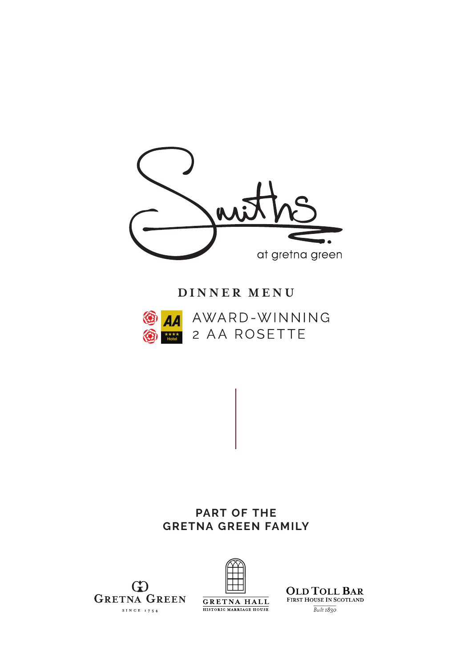

#### **DINNER MENU**



#### **PART OF THE GRETNA GREEN FAMILY**







 $\overline{Bult1830}$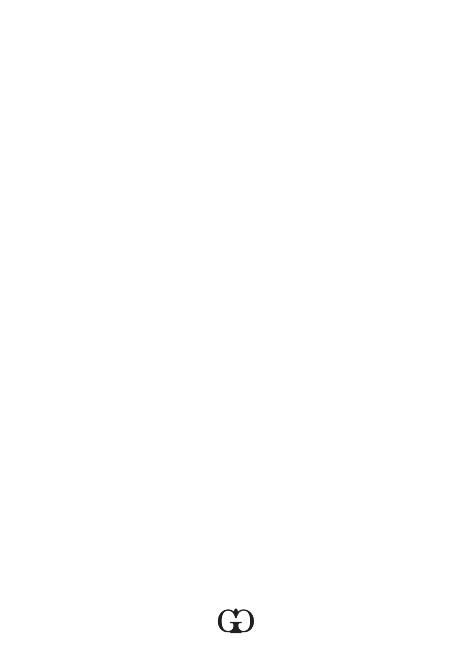## $\bigoplus$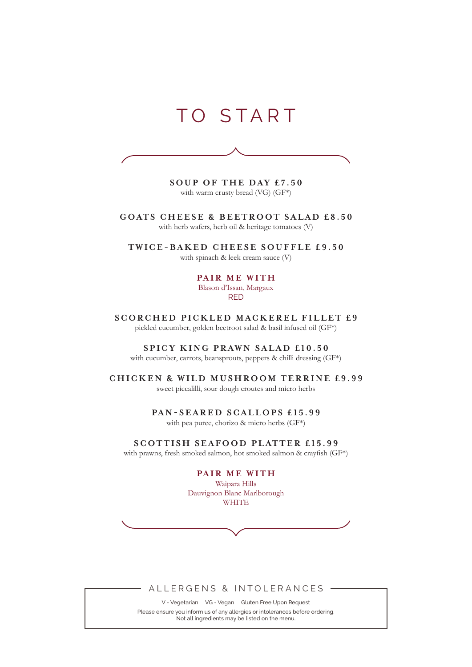## TO START

**SOUP OF THE DAY £7.50** with warm crusty bread (VG) (GF\*)

**GOATS CHEESE & BEETROOT SALAD £8.50** with herb wafers, herb oil & heritage tomatoes (V)

**TWICE-BAKED CHEESE SOUFFLE £9.50** with spinach & leek cream sauce (V)

#### **PAIR ME WITH**

Blason d'Issan, Margaux RED

**SCORCHED PICKLED MACKEREL FILLET £9** pickled cucumber, golden beetroot salad & basil infused oil (GF\*)

#### **SPICY KING PRAWN SALAD £10.50**

with cucumber, carrots, beansprouts, peppers & chilli dressing (GF\*)

#### **CHICKEN & WILD MUSHROOM TERRINE £9.99**

sweet piccalilli, sour dough croutes and micro herbs

#### **PAN-SEARED SCALLOPS £15.99**

with pea puree, chorizo & micro herbs (GF\*)

#### **SCOTTISH SEAFOOD PLATTER £15.99**

with prawns, fresh smoked salmon, hot smoked salmon & crayfish (GF\*)

#### **PAIR ME WITH**

Waipara Hills Dauvignon Blanc Marlborough **WHITE** 

#### ALLERGENS & INTOLERANCES

V - Vegetarian VG - Vegan Gluten Free Upon Request Please ensure you inform us of any allergies or intolerances before ordering. Not all ingredients may be listed on the menu.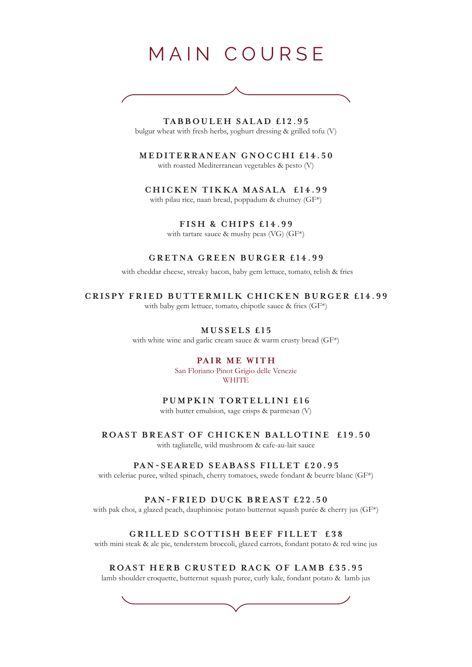## MAIN COURSE



**TABBOULEH SALAD £12.95**

bulgur wheat with fresh herbs, yoghurt dressing & grilled tofu (V)

**MEDITERRANEAN GNOCCHI £14.50** with roasted Mediterranean vegetables & pesto (V)

#### **CHICKEN TIKKA MASALA £14.99**

with pilau rice, naan bread, poppadum & chutney (GF\*)

**FISH & CHIPS £14.99**

with tartare sauce & mushy peas (VG) (GF\*)

#### **GRETNA GREEN BURGER £14.99**

with cheddar cheese, streaky bacon, baby gem lettuce, tomato, relish & fries

#### **CRISPY FRIED BUTTERMILK CHICKEN BURGER £14.99**

with baby gem lettuce, tomato, chipotle sauce & fries (GF\*)

**MUSSELS £15**

with white wine and garlic cream sauce & warm crusty bread (GF\*)

#### **PAIR ME WITH**

San Floriano Pinot Grigio delle Venezie **WHITE** 

#### **PUMPKIN TORTELLINI £16**

with butter emulsion, sage crisps & parmesan (V)

#### **ROAST BREAST OF CHICKEN BALLOTINE £19.50**

with tagliatelle, wild mushroom & cafe-au-lait sauce

#### **PAN-SEARED SEABASS FILLET £20.95**

with celeriac puree, wilted spinach, cherry tomatoes, swede fondant & beurre blanc (GF\*)

#### **PAN-FRIED DUCK BREAST £22.50**

with pak choi, a glazed peach, dauphinoise potato butternut squash purée & cherry jus (GF\*)

#### **GRILLED SCOTTISH BEEF FILLET £38**

with mini steak & ale pie, tenderstem broccoli, glazed carrots, fondant potato & red wine jus

#### **ROAST HERB CRUSTED RACK OF LAMB £35.95**

lamb shoulder croquette, butternut squash puree, curly kale, fondant potato & lamb jus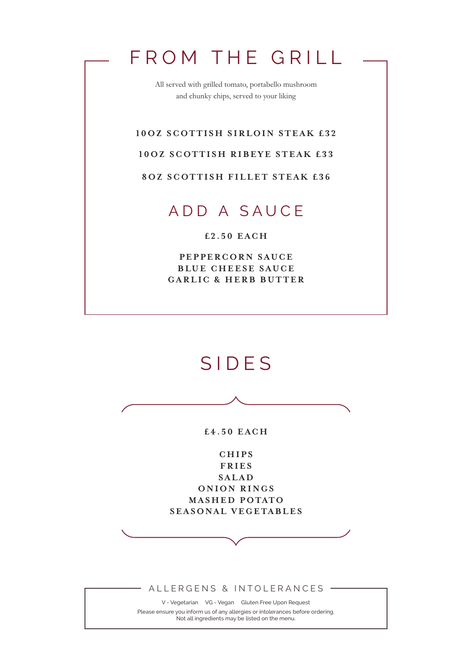## FROM THE GRILL

All served with grilled tomato, portabello mushroom and chunky chips, served to your liking

**10OZ SCOTTISH SIRLOIN STEAK £32**

**10OZ SCOTTISH RIBEYE STEAK £33**

**8OZ SCOTTISH FILLET STEAK £36**

### ADD A SAUCE

**£2.50 EACH**

**PEPPERCORN SAUCE BLUE CHEESE SAUCE GARLIC & HERB BUTTER**

## SIDES

**£ 4 . 5 0 E AC H** 

#### **CHIPS FRIES SALAD ONION RINGS MASHED POTATO SEASONAL VEGETABLES**

ALLERGENS & INTOLERANCES

V - Vegetarian VG - Vegan Gluten Free Upon Request Please ensure you inform us of any allergies or intolerances before ordering. Not all ingredients may be listed on the menu.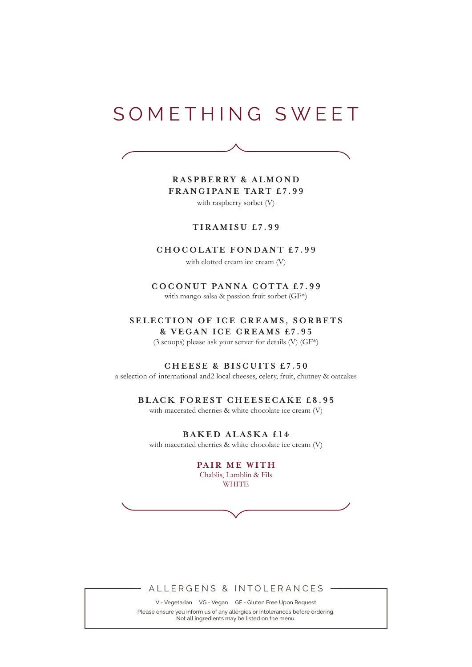## SOMETHING SWEET



**RASPBERRY & ALMOND FRANGIPANE TART £7.99**

with raspberry sorbet (V)

**TIRAMISU £7.99**

#### **CHOCOLATE FONDANT £7.99**

with clotted cream ice cream (V)

#### **COCONUT PANNA COTTA £7.99** with mango salsa & passion fruit sorbet (GF\*)

#### **SELECTION OF ICE CREAMS, SORBETS**

**& VEGAN ICE CREAMS £7.95**

(3 scoops) please ask your server for details (V) (GF\*)

#### **CHEESE & BISCUITS £7.50**

a selection of international and2 local cheeses, celery, fruit, chutney & oatcakes

#### **BLACK FOREST CHEESECAKE £8.95**

with macerated cherries & white chocolate ice cream (V)

#### **BAKED ALASKA £14**

with macerated cherries & white chocolate ice cream (V)

#### **PAIR ME WITH**

Chablis, Lamblin & Fils **WHITE** 

ALLERGENS & INTOLERANCES

V - Vegetarian VG - Vegan GF - Gluten Free Upon Request

Please ensure you inform us of any allergies or intolerances before ordering. Not all ingredients may be listed on the menu.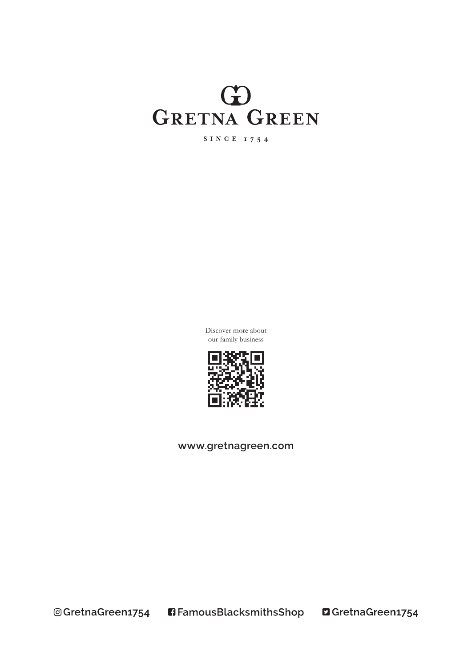# GRETNA GREEN

SINCE 1754

Discover more about our family business



**www.gretnagreen.com**